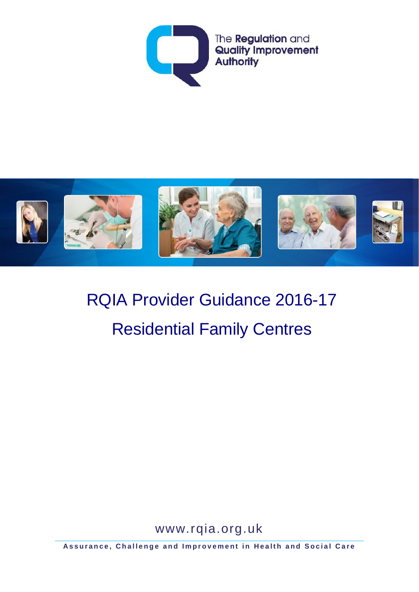



# RQIA Provider Guidance 2016-17 Residential Family Centres

www.rqia.org.uk

**Assurance, Challenge and Improvement in Health and Social Care**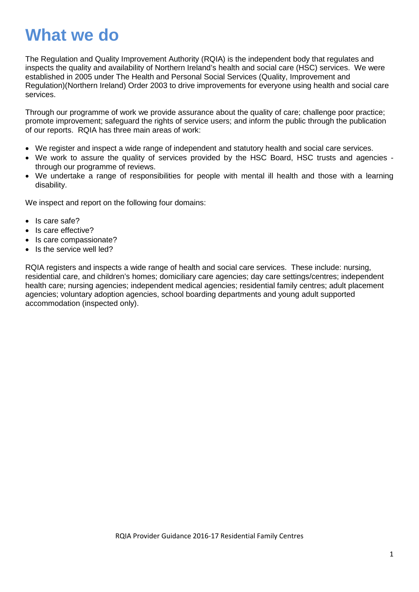# **What we do**

The Regulation and Quality Improvement Authority (RQIA) is the independent body that regulates and inspects the quality and availability of Northern Ireland's health and social care (HSC) services. We were established in 2005 under The Health and Personal Social Services (Quality, Improvement and Regulation)(Northern Ireland) Order 2003 to drive improvements for everyone using health and social care services.

Through our programme of work we provide assurance about the quality of care; challenge poor practice; promote improvement; safeguard the rights of service users; and inform the public through the publication of our reports. RQIA has three main areas of work:

- We register and inspect a wide range of independent and statutory health and social care services.
- We work to assure the quality of services provided by the HSC Board, HSC trusts and agencies through our programme of reviews.
- We undertake a range of responsibilities for people with mental ill health and those with a learning disability.

We inspect and report on the following four domains:

- Is care safe?
- Is care effective?
- Is care compassionate?
- Is the service well led?

RQIA registers and inspects a wide range of health and social care services. These include: nursing, residential care, and children's homes; domiciliary care agencies; day care settings/centres; independent health care; nursing agencies; independent medical agencies; residential family centres; adult placement agencies; voluntary adoption agencies, school boarding departments and young adult supported accommodation (inspected only).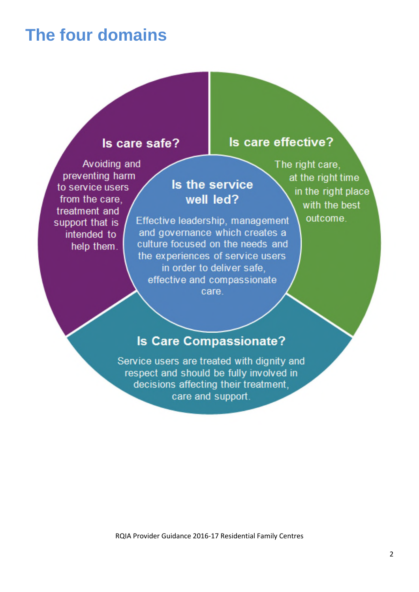## **The four domains**

### Is care safe?

Avoiding and preventing harm to service users from the care. treatment and support that is intended to help them.

### Is the service well led?

Effective leadership, management and governance which creates a culture focused on the needs and the experiences of service users in order to deliver safe. effective and compassionate care.

The right care. at the right time in the right place with the best outcome.

Is care effective?

### **Is Care Compassionate?**

Service users are treated with dignity and respect and should be fully involved in decisions affecting their treatment. care and support.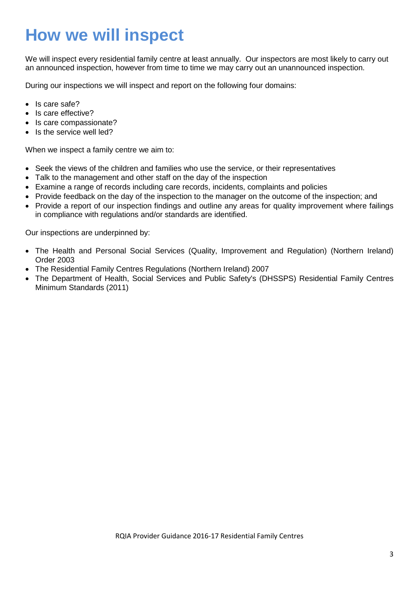# **How we will inspect**

We will inspect every residential family centre at least annually. Our inspectors are most likely to carry out an announced inspection, however from time to time we may carry out an unannounced inspection.

During our inspections we will inspect and report on the following four domains:

- Is care safe?
- Is care effective?
- Is care compassionate?
- Is the service well led?

When we inspect a family centre we aim to:

- Seek the views of the children and families who use the service, or their representatives
- Talk to the management and other staff on the day of the inspection
- Examine a range of records including care records, incidents, complaints and policies
- Provide feedback on the day of the inspection to the manager on the outcome of the inspection; and
- Provide a report of our inspection findings and outline any areas for quality improvement where failings in compliance with regulations and/or standards are identified.

Our inspections are underpinned by:

- The Health and Personal Social Services (Quality, Improvement and Regulation) (Northern Ireland) Order 2003
- The Residential Family Centres Regulations (Northern Ireland) 2007
- The Department of Health, Social Services and Public Safety's (DHSSPS) Residential Family Centres Minimum Standards (2011)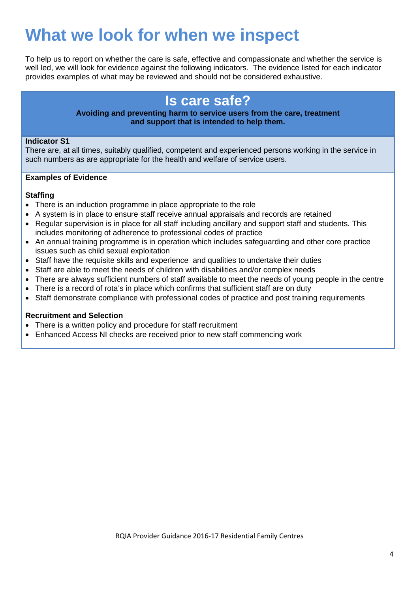# **What we look for when we inspect**

To help us to report on whether the care is safe, effective and compassionate and whether the service is well led, we will look for evidence against the following indicators. The evidence listed for each indicator provides examples of what may be reviewed and should not be considered exhaustive.

### **Is care safe?**

### **Avoiding and preventing harm to service users from the care, treatment and support that is intended to help them.**

### **Indicator S1**

There are, at all times, suitably qualified, competent and experienced persons working in the service in such numbers as are appropriate for the health and welfare of service users.

### **Examples of Evidence**

### **Staffing**

- There is an induction programme in place appropriate to the role
- A system is in place to ensure staff receive annual appraisals and records are retained
- Regular supervision is in place for all staff including ancillary and support staff and students. This includes monitoring of adherence to professional codes of practice
- An annual training programme is in operation which includes safeguarding and other core practice issues such as child sexual exploitation
- Staff have the requisite skills and experience and qualities to undertake their duties
- Staff are able to meet the needs of children with disabilities and/or complex needs
- There are always sufficient numbers of staff available to meet the needs of young people in the centre
- There is a record of rota's in place which confirms that sufficient staff are on duty
- Staff demonstrate compliance with professional codes of practice and post training requirements

### **Recruitment and Selection**

- There is a written policy and procedure for staff recruitment
- Enhanced Access NI checks are received prior to new staff commencing work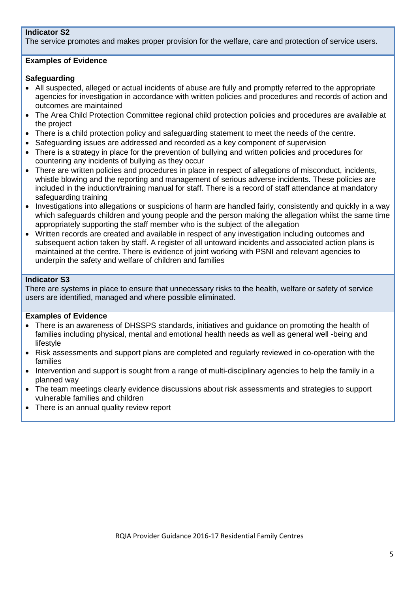### **Indicator S2**

The service promotes and makes proper provision for the welfare, care and protection of service users.

### **Examples of Evidence**

### **Safeguarding**

- All suspected, alleged or actual incidents of abuse are fully and promptly referred to the appropriate agencies for investigation in accordance with written policies and procedures and records of action and outcomes are maintained
- The Area Child Protection Committee regional child protection policies and procedures are available at the project
- There is a child protection policy and safeguarding statement to meet the needs of the centre.
- Safeguarding issues are addressed and recorded as a key component of supervision
- There is a strategy in place for the prevention of bullying and written policies and procedures for countering any incidents of bullying as they occur
- There are written policies and procedures in place in respect of allegations of misconduct, incidents, whistle blowing and the reporting and management of serious adverse incidents. These policies are included in the induction/training manual for staff. There is a record of staff attendance at mandatory safeguarding training
- Investigations into allegations or suspicions of harm are handled fairly, consistently and quickly in a way which safeguards children and young people and the person making the allegation whilst the same time appropriately supporting the staff member who is the subject of the allegation
- Written records are created and available in respect of any investigation including outcomes and subsequent action taken by staff. A register of all untoward incidents and associated action plans is maintained at the centre. There is evidence of joint working with PSNI and relevant agencies to underpin the safety and welfare of children and families

### **Indicator S3**

There are systems in place to ensure that unnecessary risks to the health, welfare or safety of service users are identified, managed and where possible eliminated.

- There is an awareness of DHSSPS standards, initiatives and guidance on promoting the health of families including physical, mental and emotional health needs as well as general well -being and lifestyle
- Risk assessments and support plans are completed and regularly reviewed in co-operation with the families
- Intervention and support is sought from a range of multi-disciplinary agencies to help the family in a planned way
- The team meetings clearly evidence discussions about risk assessments and strategies to support vulnerable families and children
- There is an annual quality review report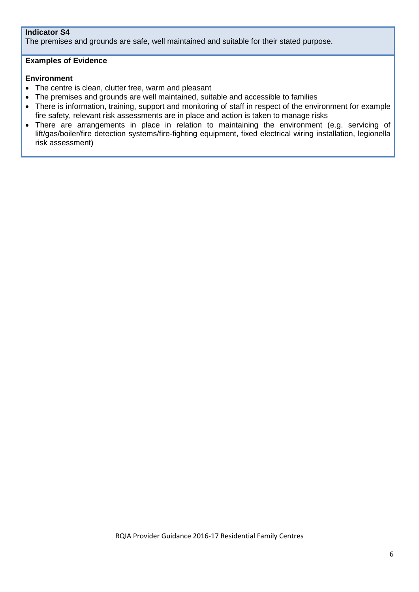### **Indicator S4**

The premises and grounds are safe, well maintained and suitable for their stated purpose.

### **Examples of Evidence**

### **Environment**

- The centre is clean, clutter free, warm and pleasant
- The premises and grounds are well maintained, suitable and accessible to families
- There is information, training, support and monitoring of staff in respect of the environment for example fire safety, relevant risk assessments are in place and action is taken to manage risks
- There are arrangements in place in relation to maintaining the environment (e.g. servicing of lift/gas/boiler/fire detection systems/fire-fighting equipment, fixed electrical wiring installation, legionella risk assessment)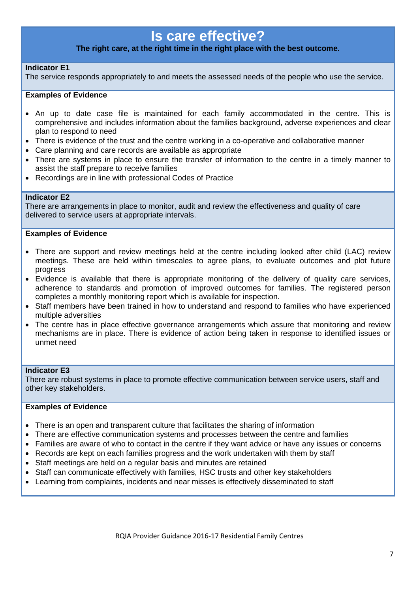### **Is care effective?**

### **The right care, at the right time in the right place with the best outcome.**

### **Indicator E1**

The service responds appropriately to and meets the assessed needs of the people who use the service.

### **Examples of Evidence**

- An up to date case file is maintained for each family accommodated in the centre. This is comprehensive and includes information about the families background, adverse experiences and clear plan to respond to need
- There is evidence of the trust and the centre working in a co-operative and collaborative manner
- Care planning and care records are available as appropriate
- There are systems in place to ensure the transfer of information to the centre in a timely manner to assist the staff prepare to receive families
- Recordings are in line with professional Codes of Practice

### **Indicator E2**

There are arrangements in place to monitor, audit and review the effectiveness and quality of care delivered to service users at appropriate intervals.

### **Examples of Evidence**

- There are support and review meetings held at the centre including looked after child (LAC) review meetings. These are held within timescales to agree plans, to evaluate outcomes and plot future progress
- Evidence is available that there is appropriate monitoring of the delivery of quality care services, adherence to standards and promotion of improved outcomes for families. The registered person completes a monthly monitoring report which is available for inspection.
- Staff members have been trained in how to understand and respond to families who have experienced multiple adversities
- The centre has in place effective governance arrangements which assure that monitoring and review mechanisms are in place. There is evidence of action being taken in response to identified issues or unmet need

### **Indicator E3**

There are robust systems in place to promote effective communication between service users, staff and other key stakeholders.

- There is an open and transparent culture that facilitates the sharing of information
- There are effective communication systems and processes between the centre and families
- Families are aware of who to contact in the centre if they want advice or have any issues or concerns
- Records are kept on each families progress and the work undertaken with them by staff
- Staff meetings are held on a regular basis and minutes are retained
- Staff can communicate effectively with families, HSC trusts and other key stakeholders
- Learning from complaints, incidents and near misses is effectively disseminated to staff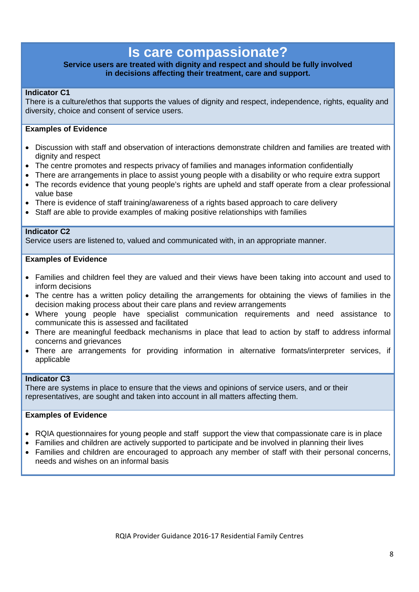### **Is care compassionate?**

### **Service users are treated with dignity and respect and should be fully involved in decisions affecting their treatment, care and support.**

### **Indicator C1**

There is a culture/ethos that supports the values of dignity and respect, independence, rights, equality and diversity, choice and consent of service users.

### **Examples of Evidence**

- Discussion with staff and observation of interactions demonstrate children and families are treated with dignity and respect
- The centre promotes and respects privacy of families and manages information confidentially
- There are arrangements in place to assist young people with a disability or who require extra support
- The records evidence that young people's rights are upheld and staff operate from a clear professional value base
- There is evidence of staff training/awareness of a rights based approach to care delivery
- Staff are able to provide examples of making positive relationships with families

### **Indicator C2**

Service users are listened to, valued and communicated with, in an appropriate manner.

### **Examples of Evidence**

- Families and children feel they are valued and their views have been taking into account and used to inform decisions
- The centre has a written policy detailing the arrangements for obtaining the views of families in the decision making process about their care plans and review arrangements
- Where young people have specialist communication requirements and need assistance to communicate this is assessed and facilitated
- There are meaningful feedback mechanisms in place that lead to action by staff to address informal concerns and grievances
- There are arrangements for providing information in alternative formats/interpreter services, if applicable

#### **Indicator C3**

There are systems in place to ensure that the views and opinions of service users, and or their representatives, are sought and taken into account in all matters affecting them.

- RQIA questionnaires for young people and staff support the view that compassionate care is in place
- Families and children are actively supported to participate and be involved in planning their lives
- Families and children are encouraged to approach any member of staff with their personal concerns, needs and wishes on an informal basis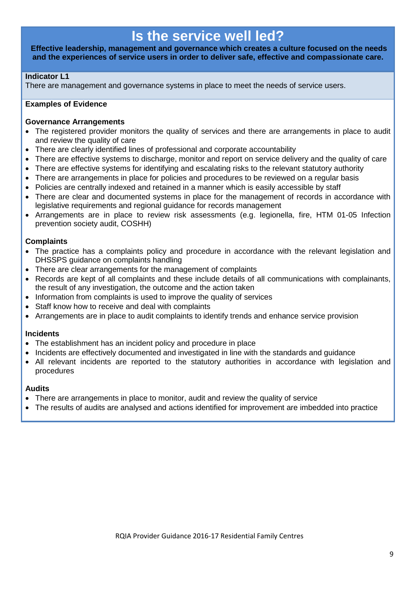### **Is the service well led?**

**Effective leadership, management and governance which creates a culture focused on the needs and the experiences of service users in order to deliver safe, effective and compassionate care.**

### **Indicator L1**

There are management and governance systems in place to meet the needs of service users.

### **Examples of Evidence**

### **Governance Arrangements**

- The registered provider monitors the quality of services and there are arrangements in place to audit and review the quality of care
- There are clearly identified lines of professional and corporate accountability
- There are effective systems to discharge, monitor and report on service delivery and the quality of care
- There are effective systems for identifying and escalating risks to the relevant statutory authority
- There are arrangements in place for policies and procedures to be reviewed on a regular basis
- Policies are centrally indexed and retained in a manner which is easily accessible by staff
- There are clear and documented systems in place for the management of records in accordance with legislative requirements and regional guidance for records management
- Arrangements are in place to review risk assessments (e.g. legionella, fire, HTM 01-05 Infection prevention society audit, COSHH)

### **Complaints**

- The practice has a complaints policy and procedure in accordance with the relevant legislation and DHSSPS guidance on complaints handling
- There are clear arrangements for the management of complaints
- Records are kept of all complaints and these include details of all communications with complainants, the result of any investigation, the outcome and the action taken
- Information from complaints is used to improve the quality of services
- Staff know how to receive and deal with complaints
- Arrangements are in place to audit complaints to identify trends and enhance service provision

### **Incidents**

- The establishment has an incident policy and procedure in place
- Incidents are effectively documented and investigated in line with the standards and guidance
- All relevant incidents are reported to the statutory authorities in accordance with legislation and procedures

### **Audits**

- There are arrangements in place to monitor, audit and review the quality of service
- The results of audits are analysed and actions identified for improvement are imbedded into practice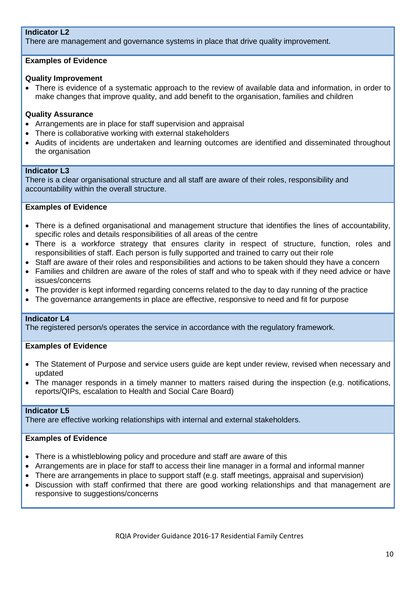### **Indicator L2**

There are management and governance systems in place that drive quality improvement.

### **Examples of Evidence**

### **Quality Improvement**

• There is evidence of a systematic approach to the review of available data and information, in order to make changes that improve quality, and add benefit to the organisation, families and children

### **Quality Assurance**

- Arrangements are in place for staff supervision and appraisal
- There is collaborative working with external stakeholders
- Audits of incidents are undertaken and learning outcomes are identified and disseminated throughout the organisation

#### **Indicator L3**

There is a clear organisational structure and all staff are aware of their roles, responsibility and accountability within the overall structure.

#### **Examples of Evidence**

- There is a defined organisational and management structure that identifies the lines of accountability, specific roles and details responsibilities of all areas of the centre
- There is a workforce strategy that ensures clarity in respect of structure, function, roles and responsibilities of staff. Each person is fully supported and trained to carry out their role
- Staff are aware of their roles and responsibilities and actions to be taken should they have a concern
- Families and children are aware of the roles of staff and who to speak with if they need advice or have issues/concerns
- The provider is kept informed regarding concerns related to the day to day running of the practice
- The governance arrangements in place are effective, responsive to need and fit for purpose

#### **Indicator L4**

The registered person/s operates the service in accordance with the regulatory framework.

### **Examples of Evidence**

- The Statement of Purpose and service users guide are kept under review, revised when necessary and updated
- The manager responds in a timely manner to matters raised during the inspection (e.g. notifications, reports/QIPs, escalation to Health and Social Care Board)

#### **Indicator L5**

There are effective working relationships with internal and external stakeholders.

- There is a whistleblowing policy and procedure and staff are aware of this
- Arrangements are in place for staff to access their line manager in a formal and informal manner
- There are arrangements in place to support staff (e.g. staff meetings, appraisal and supervision)
- Discussion with staff confirmed that there are good working relationships and that management are responsive to suggestions/concerns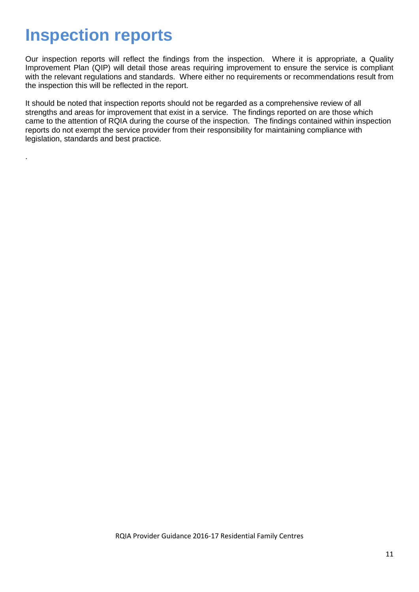# **Inspection reports**

.

Our inspection reports will reflect the findings from the inspection. Where it is appropriate, a Quality Improvement Plan (QIP) will detail those areas requiring improvement to ensure the service is compliant with the relevant regulations and standards. Where either no requirements or recommendations result from the inspection this will be reflected in the report.

It should be noted that inspection reports should not be regarded as a comprehensive review of all strengths and areas for improvement that exist in a service. The findings reported on are those which came to the attention of RQIA during the course of the inspection. The findings contained within inspection reports do not exempt the service provider from their responsibility for maintaining compliance with legislation, standards and best practice.